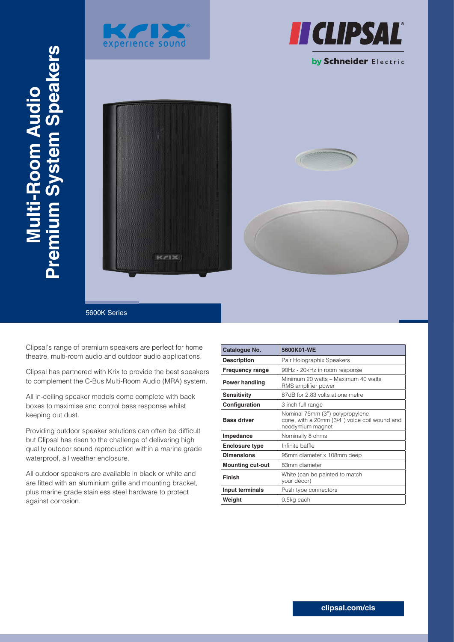





### by Schneider Electric

 $K/1 \times$ 



5600K Series

Clipsal's range of premium speakers are perfect for home theatre, multi-room audio and outdoor audio applications.

Clipsal has partnered with Krix to provide the best speakers to complement the C-Bus Multi-Room Audio (MRA) system.

All in-ceiling speaker models come complete with back boxes to maximise and control bass response whilst keeping out dust.

Providing outdoor speaker solutions can often be difficult but Clipsal has risen to the challenge of delivering high quality outdoor sound reproduction within a marine grade waterproof, all weather enclosure.

All outdoor speakers are available in black or white and are fitted with an aluminium grille and mounting bracket, plus marine grade stainless steel hardware to protect against corrosion.

| Catalogue No.           | 5600K01-WE                                                                                           |  |
|-------------------------|------------------------------------------------------------------------------------------------------|--|
| <b>Description</b>      | Pair Holographix Speakers                                                                            |  |
| <b>Frequency range</b>  | 90Hz - 20kHz in room response                                                                        |  |
| Power handling          | Minimum 20 watts – Maximum 40 watts<br>RMS amplifier power                                           |  |
| Sensitivity             | 87dB for 2.83 volts at one metre                                                                     |  |
| Configuration           | 3 inch full range                                                                                    |  |
| <b>Bass driver</b>      | Nominal 75mm (3") polypropylene<br>cone, with a 20mm (3/4") voice coil wound and<br>neodymium magnet |  |
| Impedance               | Nominally 8 ohms                                                                                     |  |
| <b>Enclosure type</b>   | Infinite baffle                                                                                      |  |
| <b>Dimensions</b>       | 95mm diameter x 108mm deep                                                                           |  |
| <b>Mounting cut-out</b> | 83mm diameter                                                                                        |  |
| <b>Finish</b>           | White (can be painted to match<br>your décor)                                                        |  |
| Input terminals         | Push type connectors                                                                                 |  |
| Weight                  | 0.5kg each                                                                                           |  |